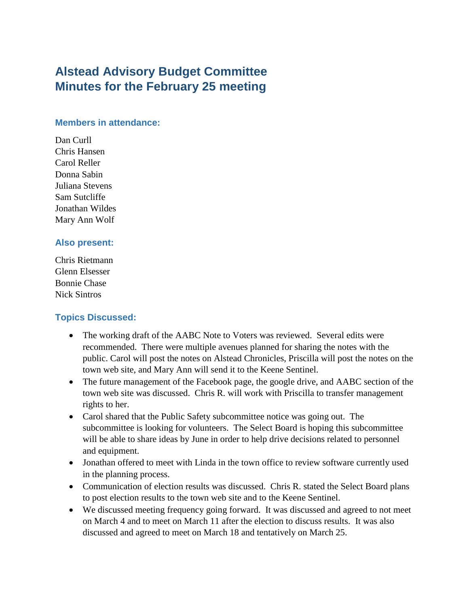# **Alstead Advisory Budget Committee Minutes for the February 25 meeting**

#### **Members in attendance:**

Dan Curll Chris Hansen Carol Reller Donna Sabin Juliana Stevens Sam Sutcliffe Jonathan Wildes Mary Ann Wolf

#### **Also present:**

Chris Rietmann Glenn Elsesser Bonnie Chase Nick Sintros

#### **Topics Discussed:**

- The working draft of the AABC Note to Voters was reviewed. Several edits were recommended. There were multiple avenues planned for sharing the notes with the public. Carol will post the notes on Alstead Chronicles, Priscilla will post the notes on the town web site, and Mary Ann will send it to the Keene Sentinel.
- The future management of the Facebook page, the google drive, and AABC section of the town web site was discussed. Chris R. will work with Priscilla to transfer management rights to her.
- Carol shared that the Public Safety subcommittee notice was going out. The subcommittee is looking for volunteers. The Select Board is hoping this subcommittee will be able to share ideas by June in order to help drive decisions related to personnel and equipment.
- Jonathan offered to meet with Linda in the town office to review software currently used in the planning process.
- Communication of election results was discussed. Chris R. stated the Select Board plans to post election results to the town web site and to the Keene Sentinel.
- We discussed meeting frequency going forward. It was discussed and agreed to not meet on March 4 and to meet on March 11 after the election to discuss results. It was also discussed and agreed to meet on March 18 and tentatively on March 25.